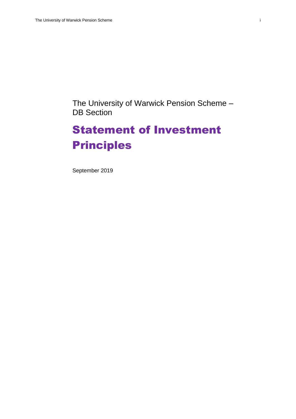The University of Warwick Pension Scheme – DB Section

# Statement of Investment Principles

September 2019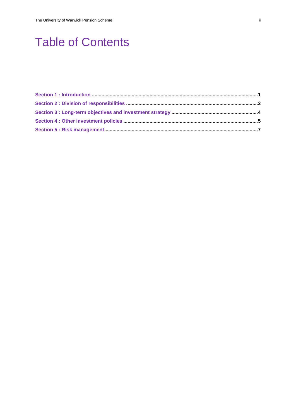# **Table of Contents**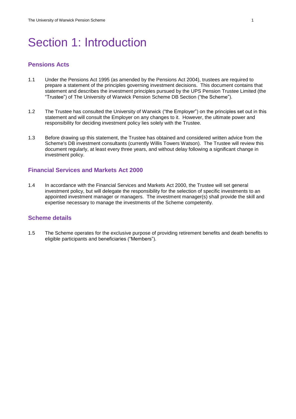# Section 1: Introduction

## **Pensions Acts**

- 1.1 Under the Pensions Act 1995 (as amended by the Pensions Act 2004), trustees are required to prepare a statement of the principles governing investment decisions. This document contains that statement and describes the investment principles pursued by the UPS Pension Trustee Limited (the "Trustee") of The University of Warwick Pension Scheme DB Section ("the Scheme").
- 1.2 The Trustee has consulted the University of Warwick ("the Employer") on the principles set out in this statement and will consult the Employer on any changes to it. However, the ultimate power and responsibility for deciding investment policy lies solely with the Trustee.
- 1.3 Before drawing up this statement, the Trustee has obtained and considered written advice from the Scheme's DB investment consultants (currently Willis Towers Watson). The Trustee will review this document regularly, at least every three years, and without delay following a significant change in investment policy.

#### **Financial Services and Markets Act 2000**

1.4 In accordance with the Financial Services and Markets Act 2000, the Trustee will set general investment policy, but will delegate the responsibility for the selection of specific investments to an appointed investment manager or managers. The investment manager(s) shall provide the skill and expertise necessary to manage the investments of the Scheme competently.

#### **Scheme details**

1.5 The Scheme operates for the exclusive purpose of providing retirement benefits and death benefits to eligible participants and beneficiaries ("Members").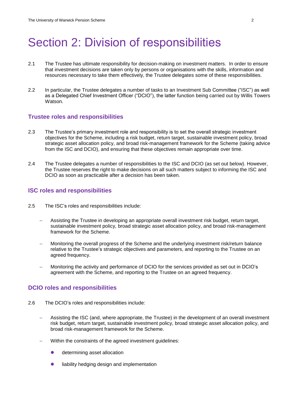## Section 2: Division of responsibilities

- 2.1 The Trustee has ultimate responsibility for decision-making on investment matters. In order to ensure that investment decisions are taken only by persons or organisations with the skills, information and resources necessary to take them effectively, the Trustee delegates some of these responsibilities.
- 2.2 In particular, the Trustee delegates a number of tasks to an Investment Sub Committee ("ISC") as well as a Delegated Chief Investment Officer ("DCIO"), the latter function being carried out by Willis Towers Watson.

#### **Trustee roles and responsibilities**

- 2.3 The Trustee's primary investment role and responsibility is to set the overall strategic investment objectives for the Scheme, including a risk budget, return target, sustainable investment policy, broad strategic asset allocation policy, and broad risk-management framework for the Scheme (taking advice from the ISC and DCIO), and ensuring that these objectives remain appropriate over time.
- 2.4 The Trustee delegates a number of responsibilities to the ISC and DCIO (as set out below). However, the Trustee reserves the right to make decisions on all such matters subject to informing the ISC and DCIO as soon as practicable after a decision has been taken.

#### **ISC roles and responsibilities**

- 2.5 The ISC's roles and responsibilities include:
	- Assisting the Trustee in developing an appropriate overall investment risk budget, return target, sustainable investment policy, broad strategic asset allocation policy, and broad risk-management framework for the Scheme.
	- Monitoring the overall progress of the Scheme and the underlying investment risk/return balance relative to the Trustee's strategic objectives and parameters, and reporting to the Trustee on an agreed frequency.
	- Monitoring the activity and performance of DCIO for the services provided as set out in DCIO's agreement with the Scheme, and reporting to the Trustee on an agreed frequency.

#### **DCIO roles and responsibilities**

- 2.6 The DCIO's roles and responsibilities include:
	- Assisting the ISC (and, where appropriate, the Trustee) in the development of an overall investment risk budget, return target, sustainable investment policy, broad strategic asset allocation policy, and broad risk-management framework for the Scheme.
	- Within the constraints of the agreed investment guidelines:
		- determining asset allocation
		- liability hedging design and implementation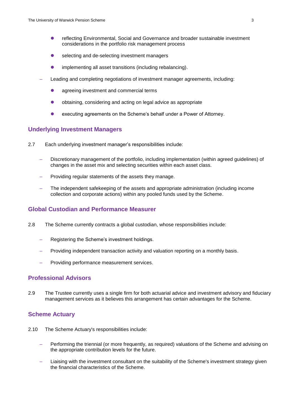- reflecting Environmental, Social and Governance and broader sustainable investment considerations in the portfolio risk management process
- selecting and de-selecting investment managers
- implementing all asset transitions (including rebalancing).
- Leading and completing negotiations of investment manager agreements, including:
	- **•** agreeing investment and commercial terms
	- obtaining, considering and acting on legal advice as appropriate
	- **executing agreements on the Scheme's behalf under a Power of Attorney.**

### **Underlying Investment Managers**

- 2.7 Each underlying investment manager's responsibilities include:
	- Discretionary management of the portfolio, including implementation (within agreed guidelines) of changes in the asset mix and selecting securities within each asset class.
	- Providing regular statements of the assets they manage.
	- The independent safekeeping of the assets and appropriate administration (including income collection and corporate actions) within any pooled funds used by the Scheme.

### **Global Custodian and Performance Measurer**

- 2.8 The Scheme currently contracts a global custodian, whose responsibilities include:
	- Registering the Scheme's investment holdings.
	- Providing independent transaction activity and valuation reporting on a monthly basis.
	- Providing performance measurement services.

### **Professional Advisors**

2.9 The Trustee currently uses a single firm for both actuarial advice and investment advisory and fiduciary management services as it believes this arrangement has certain advantages for the Scheme.

#### **Scheme Actuary**

- 2.10 The Scheme Actuary's responsibilities include:
	- Performing the triennial (or more frequently, as required) valuations of the Scheme and advising on the appropriate contribution levels for the future.
	- Liaising with the investment consultant on the suitability of the Scheme's investment strategy given the financial characteristics of the Scheme.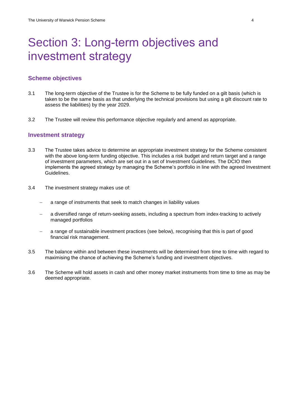# Section 3: Long-term objectives and investment strategy

#### **Scheme objectives**

- 3.1 The long-term objective of the Trustee is for the Scheme to be fully funded on a gilt basis (which is taken to be the same basis as that underlying the technical provisions but using a gilt discount rate to assess the liabilities) by the year 2029.
- 3.2 The Trustee will review this performance objective regularly and amend as appropriate.

#### **Investment strategy**

- 3.3 The Trustee takes advice to determine an appropriate investment strategy for the Scheme consistent with the above long-term funding objective. This includes a risk budget and return target and a range of investment parameters, which are set out in a set of Investment Guidelines. The DCIO then implements the agreed strategy by managing the Scheme's portfolio in line with the agreed Investment Guidelines.
- 3.4 The investment strategy makes use of:
	- a range of instruments that seek to match changes in liability values
	- a diversified range of return-seeking assets, including a spectrum from index-tracking to actively managed portfolios
	- a range of sustainable investment practices (see below), recognising that this is part of good financial risk management.
- 3.5 The balance within and between these investments will be determined from time to time with regard to maximising the chance of achieving the Scheme's funding and investment objectives.
- 3.6 The Scheme will hold assets in cash and other money market instruments from time to time as may be deemed appropriate.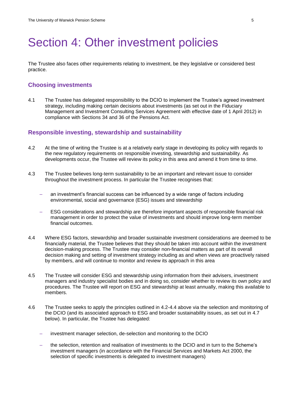## Section 4: Other investment policies

The Trustee also faces other requirements relating to investment, be they legislative or considered best practice.

### **Choosing investments**

4.1 The Trustee has delegated responsibility to the DCIO to implement the Trustee's agreed investment strategy, including making certain decisions about investments (as set out in the Fiduciary Management and Investment Consulting Services Agreement with effective date of 1 April 2012) in compliance with Sections 34 and 36 of the Pensions Act.

### **Responsible investing, stewardship and sustainability**

- 4.2 At the time of writing the Trustee is at a relatively early stage in developing its policy with regards to the new regulatory requirements on responsible investing, stewardship and sustainability. As developments occur, the Trustee will review its policy in this area and amend it from time to time.
- 4.3 The Trustee believes long-term sustainability to be an important and relevant issue to consider throughout the investment process. In particular the Trustee recognises that:
	- an investment's financial success can be influenced by a wide range of factors including environmental, social and governance (ESG) issues and stewardship
	- ESG considerations and stewardship are therefore important aspects of responsible financial risk management in order to protect the value of investments and should improve long-term member financial outcomes.
- 4.4 Where ESG factors, stewardship and broader sustainable investment considerations are deemed to be financially material, the Trustee believes that they should be taken into account within the investment decision-making process. The Trustee may consider non-financial matters as part of its overall decision making and setting of investment strategy including as and when views are proactively raised by members, and will continue to monitor and review its approach in this area
- 4.5 The Trustee will consider ESG and stewardship using information from their advisers, investment managers and industry specialist bodies and in doing so, consider whether to review its own policy and procedures. The Trustee will report on ESG and stewardship at least annually, making this available to members.
- 4.6 The Trustee seeks to apply the principles outlined in 4.2-4.4 above via the selection and monitoring of the DCIO (and its associated approach to ESG and broader sustainability issues, as set out in 4.7 below). In particular, the Trustee has delegated:
	- investment manager selection, de-selection and monitoring to the DCIO
	- the selection, retention and realisation of investments to the DCIO and in turn to the Scheme's investment managers (in accordance with the Financial Services and Markets Act 2000, the selection of specific investments is delegated to investment managers)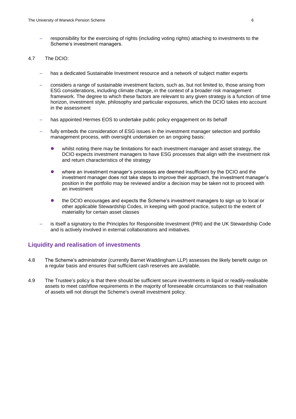responsibility for the exercising of rights (including voting rights) attaching to investments to the Scheme's investment managers.

#### 4.7 The DCIO:

- has a dedicated Sustainable Investment resource and a network of subject matter experts
- considers a range of sustainable investment factors, such as, but not limited to, those arising from ESG considerations, including climate change, in the context of a broader risk management framework. The degree to which these factors are relevant to any given strategy is a function of time horizon, investment style, philosophy and particular exposures, which the DCIO takes into account in the assessment
- has appointed Hermes EOS to undertake public policy engagement on its behalf
- fully embeds the consideration of ESG issues in the investment manager selection and portfolio management process, with oversight undertaken on an ongoing basis:
	- whilst noting there may be limitations for each investment manager and asset strategy, the DCIO expects investment managers to have ESG processes that align with the investment risk and return characteristics of the strategy
	- where an investment manager's processes are deemed insufficient by the DCIO and the investment manager does not take steps to improve their approach, the investment manager's position in the portfolio may be reviewed and/or a decision may be taken not to proceed with an investment
	- the DCIO encourages and expects the Scheme's investment managers to sign up to local or other applicable Stewardship Codes, in keeping with good practice, subject to the extent of materiality for certain asset classes
- is itself a signatory to the Principles for Responsible Investment (PRI) and the UK Stewardship Code and is actively involved in external collaborations and initiatives.

### **Liquidity and realisation of investments**

- 4.8 The Scheme's administrator (currently Barnet Waddingham LLP) assesses the likely benefit outgo on a regular basis and ensures that sufficient cash reserves are available.
- 4.9 The Trustee's policy is that there should be sufficient secure investments in liquid or readily-realisable assets to meet cashflow requirements in the majority of foreseeable circumstances so that realisation of assets will not disrupt the Scheme's overall investment policy.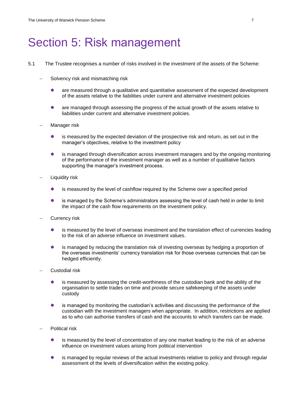## Section 5: Risk management

- 5.1 The Trustee recognises a number of risks involved in the investment of the assets of the Scheme:
	- Solvency risk and mismatching risk
		- are measured through a qualitative and quantitative assessment of the expected development of the assets relative to the liabilities under current and alternative investment policies
		- are managed through assessing the progress of the actual growth of the assets relative to liabilities under current and alternative investment policies.
	- Manager risk
		- is measured by the expected deviation of the prospective risk and return, as set out in the manager's objectives, relative to the investment policy
		- is managed through diversification across investment managers and by the ongoing monitoring of the performance of the investment manager as well as a number of qualitative factors supporting the manager's investment process.
	- Liquidity risk
		- is measured by the level of cashflow required by the Scheme over a specified period
		- is managed by the Scheme's administrators assessing the level of cash held in order to limit the impact of the cash flow requirements on the investment policy.
	- Currency risk
		- is measured by the level of overseas investment and the translation effect of currencies leading to the risk of an adverse influence on investment values.
		- is managed by reducing the translation risk of investing overseas by hedging a proportion of the overseas investments' currency translation risk for those overseas currencies that can be hedged efficiently.
	- Custodial risk
		- is measured by assessing the credit-worthiness of the custodian bank and the ability of the organisation to settle trades on time and provide secure safekeeping of the assets under custody
		- is managed by monitoring the custodian's activities and discussing the performance of the custodian with the investment managers when appropriate. In addition, restrictions are applied as to who can authorise transfers of cash and the accounts to which transfers can be made.
	- Political risk
		- is measured by the level of concentration of any one market leading to the risk of an adverse influence on investment values arising from political intervention
		- is managed by regular reviews of the actual investments relative to policy and through regular assessment of the levels of diversification within the existing policy.